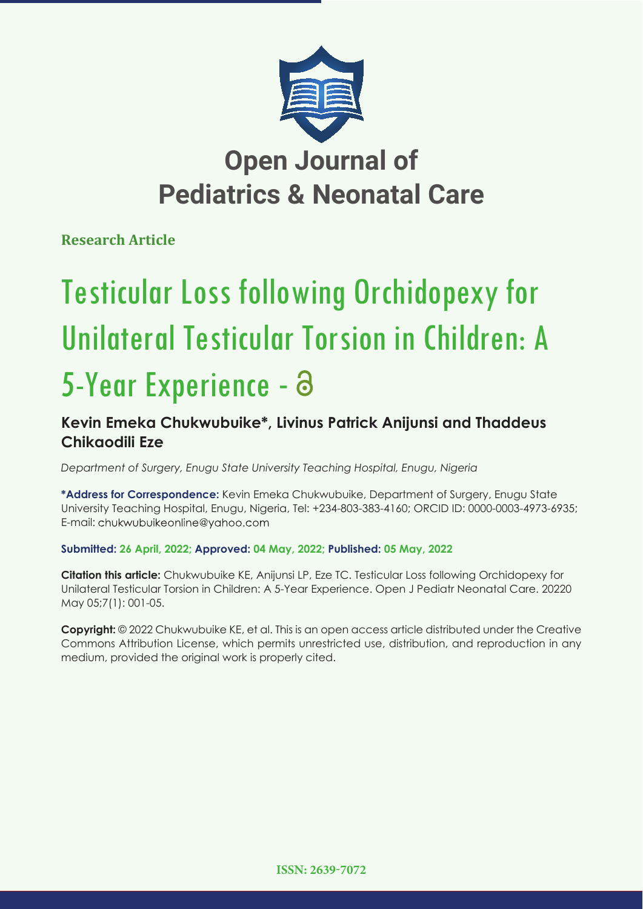

# **Pediatrics & Neonatal Care**

**Research Article**

# Testicular Loss following Orchidopexy for Unilateral Testicular Torsion in Children: A 5-Year Experience -

## **Kevin Emeka Chukwubuike\*, Livinus Patrick Anijunsi and Thaddeus Chikaodili Eze**

*Department of Surgery, Enugu State University Teaching Hospital, Enugu, Nigeria*

**\*Address for Correspondence:** Kevin Emeka Chukwubuike, Department of Surgery, Enugu State University Teaching Hospital, Enugu, Nigeria, Tel: +234-803-383-4160; ORCID ID: 0000-0003-4973-6935; E-mail: chukwubuikeonline@yahoo.com

**Submitted: 26 April, 2022; Approved: 04 May, 2022; Published: 05 May, 2022**

**Citation this article:** Chukwubuike KE, Anijunsi LP, Eze TC. Testicular Loss following Orchidopexy for Unilateral Testicular Torsion in Children: A 5-Year Experience. Open J Pediatr Neonatal Care. 20220 May 05;7(1): 001-05.

**Copyright:** © 2022 Chukwubuike KE, et al. This is an open access article distributed under the Creative Commons Attribution License, which permits unrestricted use, distribution, and reproduction in any medium, provided the original work is properly cited.

**ISSN: 2639-7072**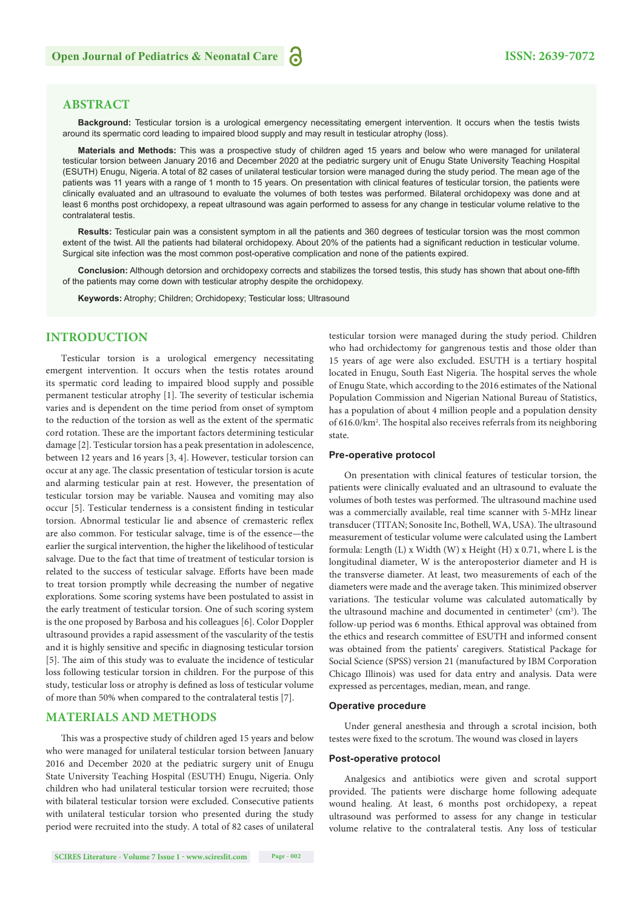#### **ABSTRACT**

**Background:** Testicular torsion is a urological emergency necessitating emergent intervention. It occurs when the testis twists around its spermatic cord leading to impaired blood supply and may result in testicular atrophy (loss).

**Materials and Methods:** This was a prospective study of children aged 15 years and below who were managed for unilateral testicular torsion between January 2016 and December 2020 at the pediatric surgery unit of Enugu State University Teaching Hospital (ESUTH) Enugu, Nigeria. A total of 82 cases of unilateral testicular torsion were managed during the study period. The mean age of the patients was 11 years with a range of 1 month to 15 years. On presentation with clinical features of testicular torsion, the patients were clinically evaluated and an ultrasound to evaluate the volumes of both testes was performed. Bilateral orchidopexy was done and at least 6 months post orchidopexy, a repeat ultrasound was again performed to assess for any change in testicular volume relative to the contralateral testis.

**Results:** Testicular pain was a consistent symptom in all the patients and 360 degrees of testicular torsion was the most common extent of the twist. All the patients had bilateral orchidopexy. About 20% of the patients had a significant reduction in testicular volume. Surgical site infection was the most common post-operative complication and none of the patients expired.

**Conclusion:** Although detorsion and orchidopexy corrects and stabilizes the torsed testis, this study has shown that about one-fifth of the patients may come down with testicular atrophy despite the orchidopexy.

**Keywords:** Atrophy; Children; Orchidopexy; Testicular loss; Ultrasound

### **INTRODUCTION**

Testicular torsion is a urological emergency necessitating emergent intervention. It occurs when the testis rotates around its spermatic cord leading to impaired blood supply and possible permanent testicular atrophy [1]. The severity of testicular ischemia varies and is dependent on the time period from onset of symptom to the reduction of the torsion as well as the extent of the spermatic cord rotation. These are the important factors determining testicular damage [2]. Testicular torsion has a peak presentation in adolescence, between 12 years and 16 years [3, 4]. However, testicular torsion can occur at any age. The classic presentation of testicular torsion is acute and alarming testicular pain at rest. However, the presentation of testicular torsion may be variable. Nausea and vomiting may also occur [5]. Testicular tenderness is a consistent finding in testicular torsion. Abnormal testicular lie and absence of cremasteric reflex are also common. For testicular salvage, time is of the essence—the earlier the surgical intervention, the higher the likelihood of testicular salvage. Due to the fact that time of treatment of testicular torsion is related to the success of testicular salvage. Efforts have been made to treat torsion promptly while decreasing the number of negative explorations. Some scoring systems have been postulated to assist in the early treatment of testicular torsion. One of such scoring system is the one proposed by Barbosa and his colleagues [6]. Color Doppler ultrasound provides a rapid assessment of the vascularity of the testis and it is highly sensitive and specific in diagnosing testicular torsion [5]. The aim of this study was to evaluate the incidence of testicular loss following testicular torsion in children. For the purpose of this study, testicular loss or atrophy is defined as loss of testicular volume of more than 50% when compared to the contralateral testis [7].

#### **MATERIALS AND METHODS**

This was a prospective study of children aged 15 years and below who were managed for unilateral testicular torsion between January 2016 and December 2020 at the pediatric surgery unit of Enugu State University Teaching Hospital (ESUTH) Enugu, Nigeria. Only children who had unilateral testicular torsion were recruited; those with bilateral testicular torsion were excluded. Consecutive patients with unilateral testicular torsion who presented during the study period were recruited into the study. A total of 82 cases of unilateral

**SCIRES Literature - Volume 7 Issue 1 - www.scireslit.com Page - 002**

testicular torsion were managed during the study period. Children who had orchidectomy for gangrenous testis and those older than 15 years of age were also excluded. ESUTH is a tertiary hospital located in Enugu, South East Nigeria. The hospital serves the whole of Enugu State, which according to the 2016 estimates of the National Population Commission and Nigerian National Bureau of Statistics, has a population of about 4 million people and a population density of 616.0/km<sup>2</sup>. The hospital also receives referrals from its neighboring state.

#### **Pre-operative protocol**

On presentation with clinical features of testicular torsion, the patients were clinically evaluated and an ultrasound to evaluate the volumes of both testes was performed. The ultrasound machine used was a commercially available, real time scanner with 5-MHz linear transducer (TITAN; Sonosite Inc, Bothell, WA, USA). The ultrasound measurement of testicular volume were calculated using the Lambert formula: Length (L) x Width (W) x Height (H) x 0.71, where L is the longitudinal diameter, W is the anteroposterior diameter and H is the transverse diameter. At least, two measurements of each of the diameters were made and the average taken. This minimized observer variations. The testicular volume was calculated automatically by the ultrasound machine and documented in centimeter<sup>3</sup> (cm<sup>3</sup>). The follow-up period was 6 months. Ethical approval was obtained from the ethics and research committee of ESUTH and informed consent was obtained from the patients' caregivers. Statistical Package for Social Science (SPSS) version 21 (manufactured by IBM Corporation Chicago Illinois) was used for data entry and analysis. Data were expressed as percentages, median, mean, and range.

#### **Operative procedure**

Under general anesthesia and through a scrotal incision, both testes were fixed to the scrotum. The wound was closed in layers

#### **Post-operative protocol**

Analgesics and antibiotics were given and scrotal support provided. The patients were discharge home following adequate wound healing. At least, 6 months post orchidopexy, a repeat ultrasound was performed to assess for any change in testicular volume relative to the contralateral testis. Any loss of testicular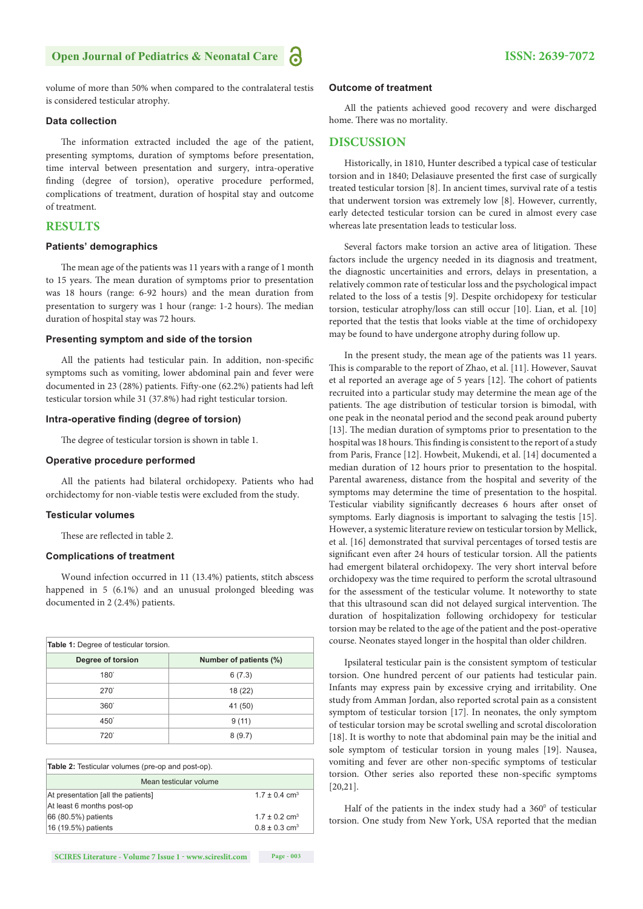#### **Open Journal of Pediatrics & Neonatal Care 1988 ISSN: 2639-7072**

volume of more than 50% when compared to the contralateral testis is considered testicular atrophy.

#### **Data collection**

The information extracted included the age of the patient, presenting symptoms, duration of symptoms before presentation, time interval between presentation and surgery, intra-operative finding (degree of torsion), operative procedure performed, complications of treatment, duration of hospital stay and outcome of treatment.

#### **RESULTS**

#### **Patients' demographics**

The mean age of the patients was 11 years with a range of 1 month to 15 years. The mean duration of symptoms prior to presentation was 18 hours (range: 6-92 hours) and the mean duration from presentation to surgery was 1 hour (range: 1-2 hours). The median duration of hospital stay was 72 hours.

#### **Presenting symptom and side of the torsion**

All the patients had testicular pain. In addition, non-specific symptoms such as vomiting, lower abdominal pain and fever were documented in 23 (28%) patients. Fifty-one (62.2%) patients had left testicular torsion while 31 (37.8%) had right testicular torsion.

#### **Intra-operative finding (degree of torsion)**

The degree of testicular torsion is shown in table 1.

#### **Operative procedure performed**

All the patients had bilateral orchidopexy. Patients who had orchidectomy for non-viable testis were excluded from the study.

#### **Testicular volumes**

These are reflected in table 2.

#### **Complications of treatment**

Wound infection occurred in 11 (13.4%) patients, stitch abscess happened in 5 (6.1%) and an unusual prolonged bleeding was documented in 2 (2.4%) patients.

| Table 1: Degree of testicular torsion. |                        |
|----------------------------------------|------------------------|
| Degree of torsion                      | Number of patients (%) |
| $180^\circ$                            | 6(7.3)                 |
| $270^\circ$                            | 18 (22)                |
| $360^\circ$                            | 41 (50)                |
| 450°                                   | 9(11)                  |
| 720°                                   | 8(9.7)                 |

| <b>Table 2:</b> Testicular volumes (pre-op and post-op). |                               |  |
|----------------------------------------------------------|-------------------------------|--|
| Mean testicular volume                                   |                               |  |
| At presentation [all the patients]                       | $17 + 0.4$ cm <sup>3</sup>    |  |
| At least 6 months post-op                                |                               |  |
| 66 (80.5%) patients                                      | $1.7 \pm 0.2$ cm <sup>3</sup> |  |
| 16 (19.5%) patients                                      | $0.8 \pm 0.3$ cm <sup>3</sup> |  |

#### **Outcome of treatment**

All the patients achieved good recovery and were discharged home. There was no mortality.

#### **DISCUSSION**

Historically, in 1810, Hunter described a typical case of testicular torsion and in 1840; Delasiauve presented the first case of surgically treated testicular torsion [8]. In ancient times, survival rate of a testis that underwent torsion was extremely low [8]. However, currently, early detected testicular torsion can be cured in almost every case whereas late presentation leads to testicular loss.

Several factors make torsion an active area of litigation. These factors include the urgency needed in its diagnosis and treatment, the diagnostic uncertainities and errors, delays in presentation, a relatively common rate of testicular loss and the psychological impact related to the loss of a testis [9]. Despite orchidopexy for testicular torsion, testicular atrophy/loss can still occur [10]. Lian, et al. [10] reported that the testis that looks viable at the time of orchidopexy may be found to have undergone atrophy during follow up.

In the present study, the mean age of the patients was 11 years. This is comparable to the report of Zhao, et al. [11]. However, Sauvat et al reported an average age of 5 years [12]. The cohort of patients recruited into a particular study may determine the mean age of the patients. The age distribution of testicular torsion is bimodal, with one peak in the neonatal period and the second peak around puberty [13]. The median duration of symptoms prior to presentation to the hospital was 18 hours. This finding is consistent to the report of a study from Paris, France [12]. Howbeit, Mukendi, et al. [14] documented a median duration of 12 hours prior to presentation to the hospital. Parental awareness, distance from the hospital and severity of the symptoms may determine the time of presentation to the hospital. Testicular viability significantly decreases 6 hours after onset of symptoms. Early diagnosis is important to salvaging the testis [15]. However, a systemic literature review on testicular torsion by Mellick, et al. [16] demonstrated that survival percentages of torsed testis are significant even after 24 hours of testicular torsion. All the patients had emergent bilateral orchidopexy. The very short interval before orchidopexy was the time required to perform the scrotal ultrasound for the assessment of the testicular volume. It noteworthy to state that this ultrasound scan did not delayed surgical intervention. The duration of hospitalization following orchidopexy for testicular torsion may be related to the age of the patient and the post-operative course. Neonates stayed longer in the hospital than older children.

Ipsilateral testicular pain is the consistent symptom of testicular torsion. One hundred percent of our patients had testicular pain. Infants may express pain by excessive crying and irritability. One study from Amman Jordan, also reported scrotal pain as a consistent symptom of testicular torsion [17]. In neonates, the only symptom of testicular torsion may be scrotal swelling and scrotal discoloration [18]. It is worthy to note that abdominal pain may be the initial and sole symptom of testicular torsion in young males [19]. Nausea, vomiting and fever are other non-specific symptoms of testicular torsion. Other series also reported these non-specific symptoms [20,21].

Half of the patients in the index study had a  $360^{\circ}$  of testicular torsion. One study from New York, USA reported that the median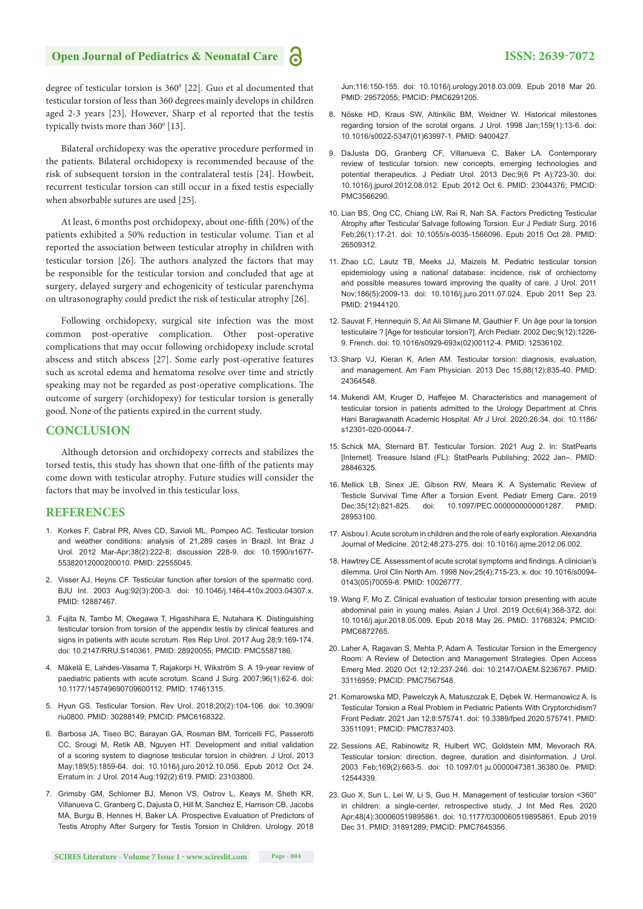### **Open Journal of Pediatrics & Neonatal Care 1988 ISSN: 2639-7072**

degree of testicular torsion is 360<sup>0</sup> [22]. Guo et al documented that testicular torsion of less than 360 degrees mainly develops in children aged 2-3 years [23]. However, Sharp et al reported that the testis typically twists more than 360<sup>°</sup> [13].

Bilateral orchidopexy was the operative procedure performed in the patients. Bilateral orchidopexy is recommended because of the risk of subsequent torsion in the contralateral testis [24]. Howbeit, recurrent testicular torsion can still occur in a fixed testis especially when absorbable sutures are used [25].

At least, 6 months post orchidopexy, about one-fifth (20%) of the patients exhibited a 50% reduction in testicular volume. Tian et al reported the association between testicular atrophy in children with testicular torsion [26]. The authors analyzed the factors that may be responsible for the testicular torsion and concluded that age at surgery, delayed surgery and echogenicity of testicular parenchyma on ultrasonography could predict the risk of testicular atrophy [26].

Following orchidopexy, surgical site infection was the most common post-operative complication. Other post-operative complications that may occur following orchidopexy include scrotal abscess and stitch abscess [27]. Some early post-operative features such as scrotal edema and hematoma resolve over time and strictly speaking may not be regarded as post-operative complications. The outcome of surgery (orchidopexy) for testicular torsion is generally good. None of the patients expired in the current study.

#### **CONCLUSION**

Although detorsion and orchidopexy corrects and stabilizes the torsed testis, this study has shown that one-fifth of the patients may come down with testicular atrophy. Future studies will consider the factors that may be involved in this testicular loss.

#### **REFERENCES**

- 1. Korkes F, Cabral PR, Alves CD, Savioli ML, Pompeo AC. Testicular torsion and weather conditions: analysis of 21,289 cases in Brazil. Int Braz J Urol. 2012 Mar-Apr;38(2):222-8; discussion 228-9. doi: 10.1590/s1677- 55382012000200010. PMID: 22555045.
- 2. Visser AJ, Heyns CF. Testicular function after torsion of the spermatic cord. BJU Int. 2003 Aug;92(3):200-3. doi: 10.1046/j.1464-410x.2003.04307.x. PMID: 12887467.
- 3. Fujita N, Tambo M, Okegawa T, Higashihara E, Nutahara K. Distinguishing testicular torsion from torsion of the appendix testis by clinical features and signs in patients with acute scrotum. Res Rep Urol. 2017 Aug 28;9:169-174. doi: 10.2147/RRU.S140361. PMID: 28920055; PMCID: PMC5587186.
- 4. Mäkelä E, Lahdes-Vasama T, Rajakorpi H, Wikström S. A 19-year review of paediatric patients with acute scrotum. Scand J Surg. 2007;96(1):62-6. doi: 10.1177/145749690709600112. PMID: 17461315.
- 5. Hyun GS. Testicular Torsion. Rev Urol. 2018;20(2):104-106. doi: 10.3909/ riu0800. PMID: 30288149; PMCID: PMC6168322.
- 6. Barbosa JA, Tiseo BC, Barayan GA, Rosman BM, Torricelli FC, Passerotti CC, Srougi M, Retik AB, Nguyen HT. Development and initial validation of a scoring system to diagnose testicular torsion in children. J Urol. 2013 May;189(5):1859-64. doi: 10.1016/j.juro.2012.10.056. Epub 2012 Oct 24. Erratum in: J Urol. 2014 Aug;192(2):619. PMID: 23103800.
- 7. Grimsby GM, Schlomer BJ, Menon VS, Ostrov L, Keays M, Sheth KR, Villanueva C, Granberg C, Dajusta D, Hill M, Sanchez E, Harrison CB, Jacobs MA, Burgu B, Hennes H, Baker LA. Prospective Evaluation of Predictors of Testis Atrophy After Surgery for Testis Torsion in Children. Urology. 2018

Jun;116:150-155. doi: 10.1016/j.urology.2018.03.009. Epub 2018 Mar 20. PMID: 29572055; PMCID: PMC6291205.

- 8. Nöske HD, Kraus SW, Altinkilic BM, Weidner W. Historical milestones regarding torsion of the scrotal organs. J Urol. 1998 Jan;159(1):13-6. doi: 10.1016/s0022-5347(01)63997-1. PMID: 9400427.
- 9. DaJusta DG, Granberg CF, Villanueva C, Baker LA. Contemporary review of testicular torsion: new concepts, emerging technologies and potential therapeutics. J Pediatr Urol. 2013 Dec;9(6 Pt A):723-30. doi: 10.1016/j.jpurol.2012.08.012. Epub 2012 Oct 6. PMID: 23044376; PMCID: PMC3566290.
- 10. Lian BS, Ong CC, Chiang LW, Rai R, Nah SA. Factors Predicting Testicular Atrophy after Testicular Salvage following Torsion. Eur J Pediatr Surg. 2016 Feb;26(1):17-21. doi: 10.1055/s-0035-1566096. Epub 2015 Oct 28. PMID: 26509312.
- 11. Zhao LC, Lautz TB, Meeks JJ, Maizels M. Pediatric testicular torsion epidemiology using a national database: incidence, risk of orchiectomy and possible measures toward improving the quality of care. J Urol. 2011 Nov;186(5):2009-13. doi: 10.1016/j.juro.2011.07.024. Epub 2011 Sep 23. PMID: 21944120.
- 12. Sauvat F, Hennequin S, Ait Ali Slimane M, Gauthier F. Un âge pour la torsion testiculaire ? [Age for testicular torsion?]. Arch Pediatr. 2002 Dec;9(12):1226- 9. French. doi: 10.1016/s0929-693x(02)00112-4. PMID: 12536102.
- 13. Sharp VJ, Kieran K, Arlen AM. Testicular torsion: diagnosis, evaluation, and management. Am Fam Physician. 2013 Dec 15;88(12):835-40. PMID: 24364548.
- 14. Mukendi AM, Kruger D, Haffejee M. Characteristics and management of testicular torsion in patients admitted to the Urology Department at Chris Hani Baragwanath Academic Hospital. Afr J Urol. 2020;26:34. doi: 10.1186/ s12301-020-00044-7.
- 15. Schick MA, Sternard BT. Testicular Torsion. 2021 Aug 2. In: StatPearls [Internet]. Treasure Island (FL): StatPearls Publishing; 2022 Jan–. PMID: 28846325.
- 16. Mellick LB, Sinex JE, Gibson RW, Mears K. A Systematic Review of Testicle Survival Time After a Torsion Event. Pediatr Emerg Care. 2019 Dec;35(12):821-825. doi: 10.1097/PEC.0000000000001287. PMID: 28953100.
- 17. Aisbou I. Acute scrotum in children and the role of early exploration. Alexandria Journal of Medicine. 2012;48:273-275. doi: 10.1016/j.ajme.2012.06.002.
- 18. Hawtrey CE. Assessment of acute scrotal symptoms and findings. A clinician's dilemma. Urol Clin North Am. 1998 Nov;25(4):715-23, x. doi: 10.1016/s0094- 0143(05)70059-8. PMID: 10026777.
- 19. Wang F, Mo Z. Clinical evaluation of testicular torsion presenting with acute abdominal pain in young males. Asian J Urol. 2019 Oct;6(4):368-372. doi: 10.1016/j.ajur.2018.05.009. Epub 2018 May 26. PMID: 31768324; PMCID: PMC6872765.
- 20. Laher A, Ragavan S, Mehta P, Adam A. Testicular Torsion in the Emergency Room: A Review of Detection and Management Strategies. Open Access Emerg Med. 2020 Oct 12;12:237-246. doi: 10.2147/OAEM.S236767. PMID: 33116959; PMCID: PMC7567548.
- 21. Komarowska MD, Pawelczyk A, Matuszczak E, Dębek W, Hermanowicz A. Is Testicular Torsion a Real Problem in Pediatric Patients With Cryptorchidism? Front Pediatr. 2021 Jan 12;8:575741. doi: 10.3389/fped.2020.575741. PMID: 33511091; PMCID: PMC7837403.
- 22. Sessions AE, Rabinowitz R, Hulbert WC, Goldstein MM, Mevorach RA. Testicular torsion: direction, degree, duration and disinformation. J Urol. 2003 Feb;169(2):663-5. doi: 10.1097/01.ju.0000047381.36380.0e. PMID: 12544339.
- 23. Guo X, Sun L, Lei W, Li S, Guo H. Management of testicular torsion <360° in children: a single-center, retrospective study. J Int Med Res. 2020 Apr;48(4):300060519895861. doi: 10.1177/0300060519895861. Epub 2019 Dec 31. PMID: 31891289; PMCID: PMC7645356.